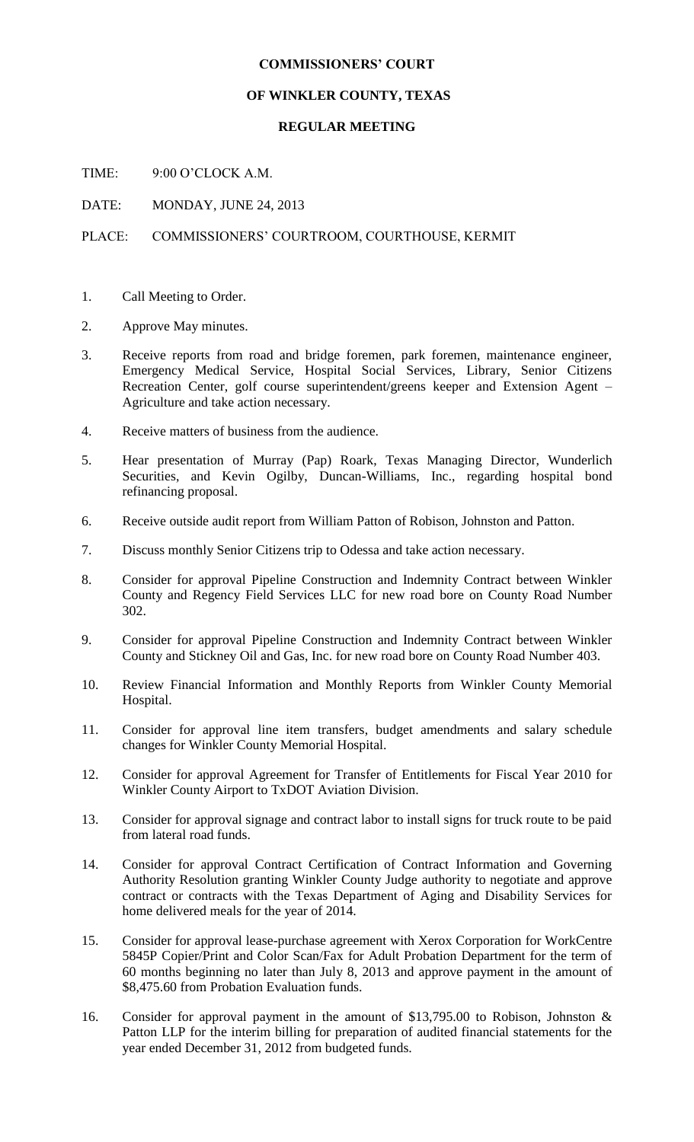## **COMMISSIONERS' COURT**

## **OF WINKLER COUNTY, TEXAS**

## **REGULAR MEETING**

TIME: 9:00 O'CLOCK A.M.

DATE: MONDAY, JUNE 24, 2013

## PLACE: COMMISSIONERS' COURTROOM, COURTHOUSE, KERMIT

- 1. Call Meeting to Order.
- 2. Approve May minutes.
- 3. Receive reports from road and bridge foremen, park foremen, maintenance engineer, Emergency Medical Service, Hospital Social Services, Library, Senior Citizens Recreation Center, golf course superintendent/greens keeper and Extension Agent – Agriculture and take action necessary.
- 4. Receive matters of business from the audience.
- 5. Hear presentation of Murray (Pap) Roark, Texas Managing Director, Wunderlich Securities, and Kevin Ogilby, Duncan-Williams, Inc., regarding hospital bond refinancing proposal.
- 6. Receive outside audit report from William Patton of Robison, Johnston and Patton.
- 7. Discuss monthly Senior Citizens trip to Odessa and take action necessary.
- 8. Consider for approval Pipeline Construction and Indemnity Contract between Winkler County and Regency Field Services LLC for new road bore on County Road Number 302.
- 9. Consider for approval Pipeline Construction and Indemnity Contract between Winkler County and Stickney Oil and Gas, Inc. for new road bore on County Road Number 403.
- 10. Review Financial Information and Monthly Reports from Winkler County Memorial Hospital.
- 11. Consider for approval line item transfers, budget amendments and salary schedule changes for Winkler County Memorial Hospital.
- 12. Consider for approval Agreement for Transfer of Entitlements for Fiscal Year 2010 for Winkler County Airport to TxDOT Aviation Division.
- 13. Consider for approval signage and contract labor to install signs for truck route to be paid from lateral road funds.
- 14. Consider for approval Contract Certification of Contract Information and Governing Authority Resolution granting Winkler County Judge authority to negotiate and approve contract or contracts with the Texas Department of Aging and Disability Services for home delivered meals for the year of 2014.
- 15. Consider for approval lease-purchase agreement with Xerox Corporation for WorkCentre 5845P Copier/Print and Color Scan/Fax for Adult Probation Department for the term of 60 months beginning no later than July 8, 2013 and approve payment in the amount of \$8,475.60 from Probation Evaluation funds.
- 16. Consider for approval payment in the amount of \$13,795.00 to Robison, Johnston & Patton LLP for the interim billing for preparation of audited financial statements for the year ended December 31, 2012 from budgeted funds.